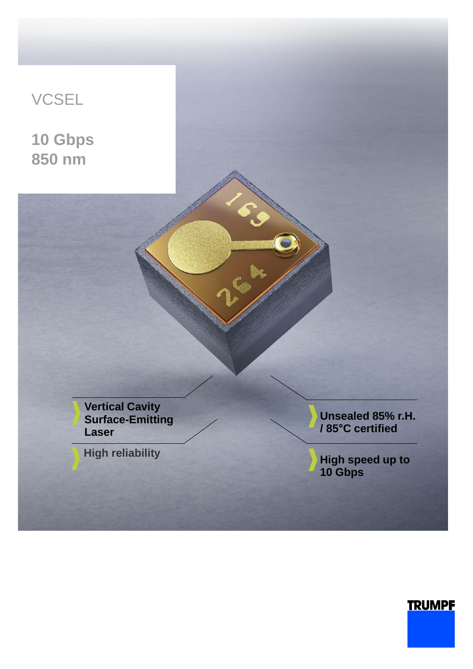

## **TRUMPF**